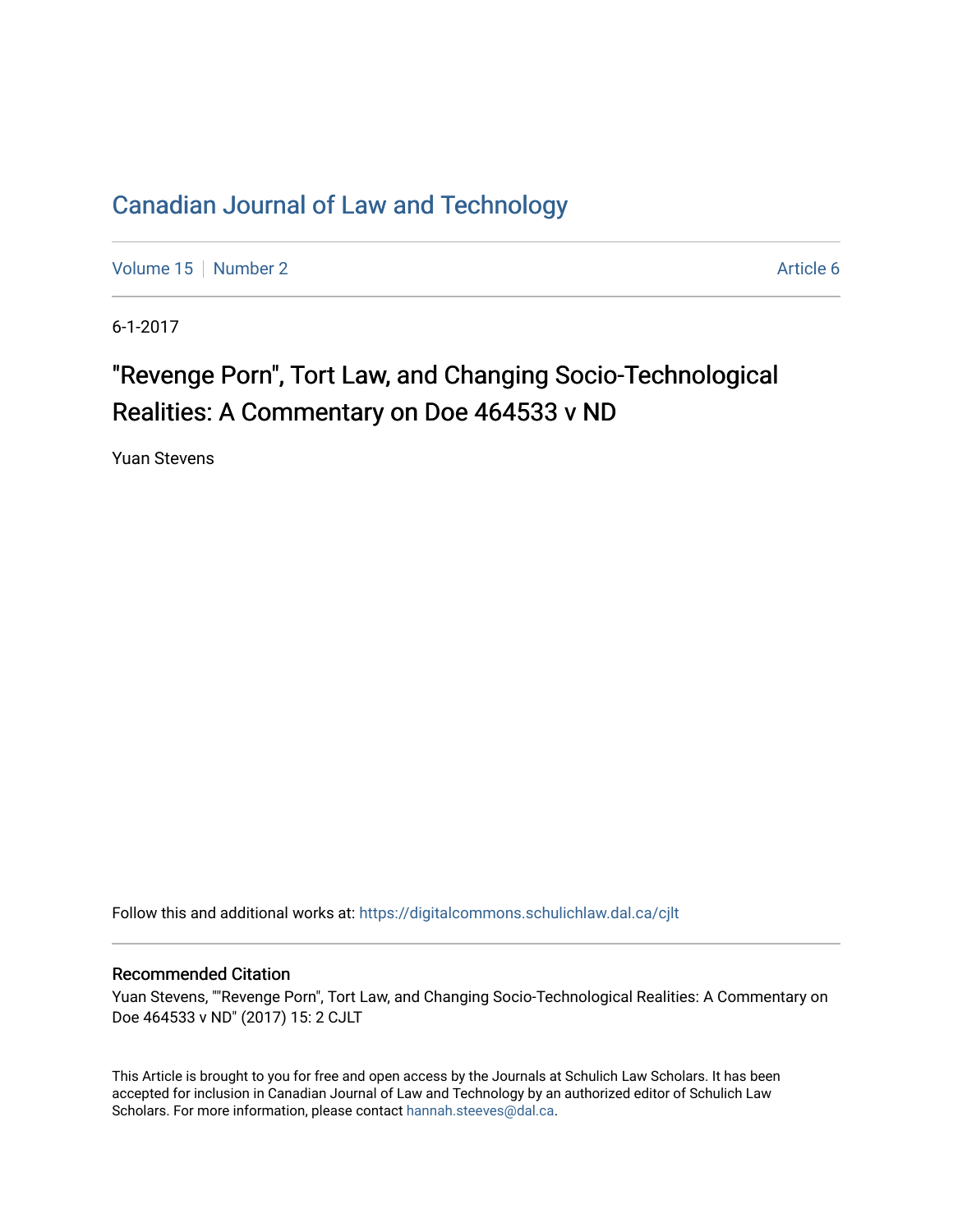## [Canadian Journal of Law and Technology](https://digitalcommons.schulichlaw.dal.ca/cjlt)

[Volume 15](https://digitalcommons.schulichlaw.dal.ca/cjlt/vol15) [Number 2](https://digitalcommons.schulichlaw.dal.ca/cjlt/vol15/iss2) Article 6

6-1-2017

# "Revenge Porn", Tort Law, and Changing Socio-Technological Realities: A Commentary on Doe 464533 v ND

Yuan Stevens

Follow this and additional works at: [https://digitalcommons.schulichlaw.dal.ca/cjlt](https://digitalcommons.schulichlaw.dal.ca/cjlt?utm_source=digitalcommons.schulichlaw.dal.ca%2Fcjlt%2Fvol15%2Fiss2%2F6&utm_medium=PDF&utm_campaign=PDFCoverPages) 

#### Recommended Citation

Yuan Stevens, ""Revenge Porn", Tort Law, and Changing Socio-Technological Realities: A Commentary on Doe 464533 v ND" (2017) 15: 2 CJLT

This Article is brought to you for free and open access by the Journals at Schulich Law Scholars. It has been accepted for inclusion in Canadian Journal of Law and Technology by an authorized editor of Schulich Law Scholars. For more information, please contact [hannah.steeves@dal.ca](mailto:hannah.steeves@dal.ca).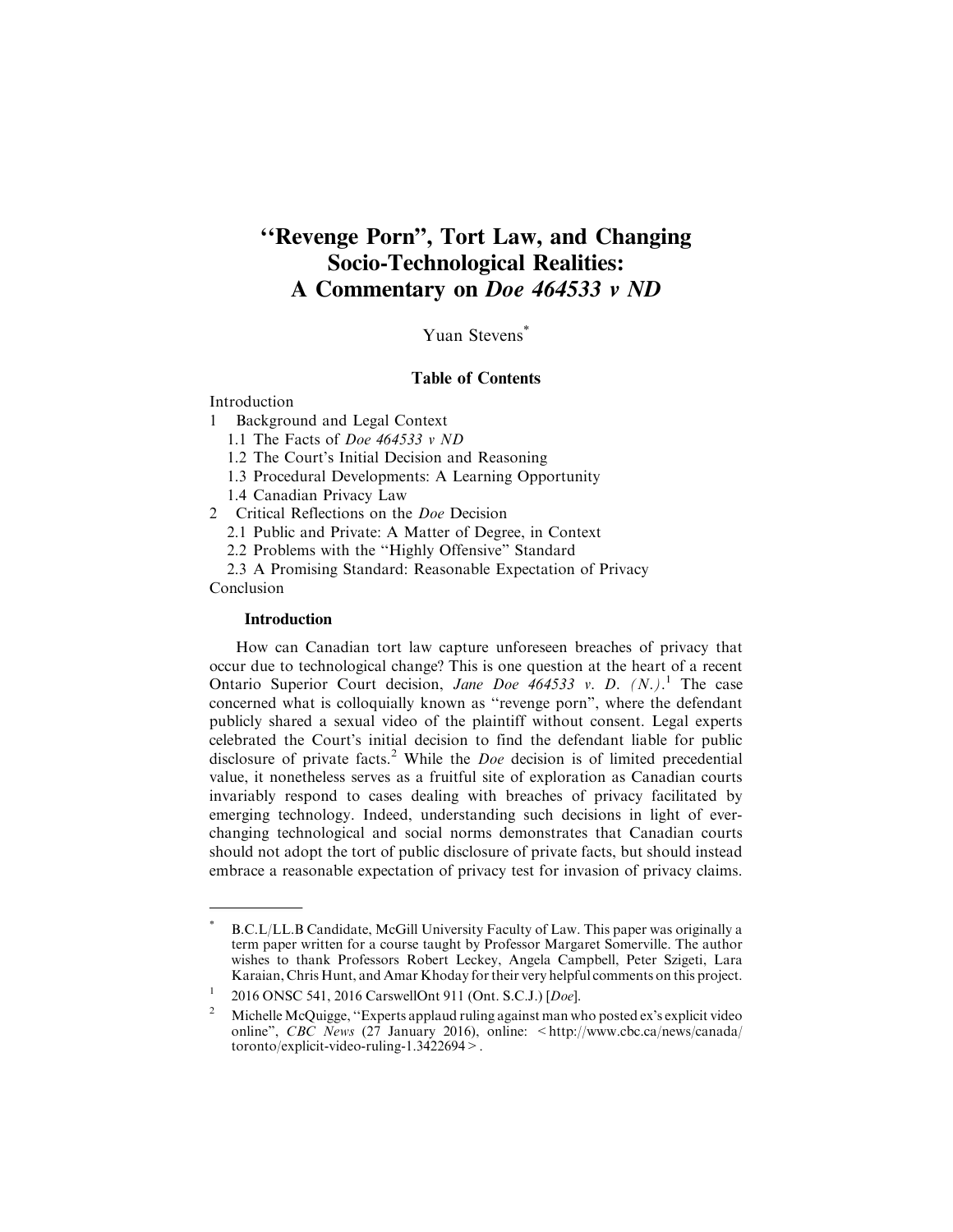### **''Revenge Porn", Tort Law, and Changing Socio-Technological Realities: A Commentary on** *Doe 464533 v ND*

Yuan Stevens<sup>\*</sup>

#### Table of Contents

Introduction

- 1 Background and Legal Context
	- 1.1 The Facts of Doe 464533 v ND

1.2 The Court's Initial Decision and Reasoning

- 1.3 Procedural Developments: A Learning Opportunity
- 1.4 Canadian Privacy Law

2 Critical Reflections on the Doe Decision

2.1 Public and Private: A Matter of Degree, in Context

2.2 Problems with the ''Highly Offensive" Standard

2.3 A Promising Standard: Reasonable Expectation of Privacy Conclusion

#### **Introduction**

How can Canadian tort law capture unforeseen breaches of privacy that occur due to technological change? This is one question at the heart of a recent Ontario Superior Court decision, Jane Doe  $464533$  v. D.  $(N.)$ <sup>1</sup> The case concerned what is colloquially known as ''revenge porn", where the defendant publicly shared a sexual video of the plaintiff without consent. Legal experts celebrated the Court's initial decision to find the defendant liable for public disclosure of private facts.<sup>2</sup> While the *Doe* decision is of limited precedential value, it nonetheless serves as a fruitful site of exploration as Canadian courts invariably respond to cases dealing with breaches of privacy facilitated by emerging technology. Indeed, understanding such decisions in light of everchanging technological and social norms demonstrates that Canadian courts should not adopt the tort of public disclosure of private facts, but should instead embrace a reasonable expectation of privacy test for invasion of privacy claims.

B.C.L/LL.B Candidate, McGill University Faculty of Law. This paper was originally a term paper written for a course taught by Professor Margaret Somerville. The author wishes to thank Professors Robert Leckey, Angela Campbell, Peter Szigeti, Lara Karaian, Chris Hunt, and Amar Khoday for their very helpful comments on this project.

<sup>&</sup>lt;sup>1</sup> 2016 ONSC 541, 2016 CarswellOnt 911 (Ont. S.C.J.) [Doe].

<sup>&</sup>lt;sup>2</sup> Michelle McQuigge, "Experts applaud ruling against man who posted ex's explicit video online", CBC News (27 January 2016), online: <http://www.cbc.ca/news/canada/ toronto/explicit-video-ruling-1.3422694>.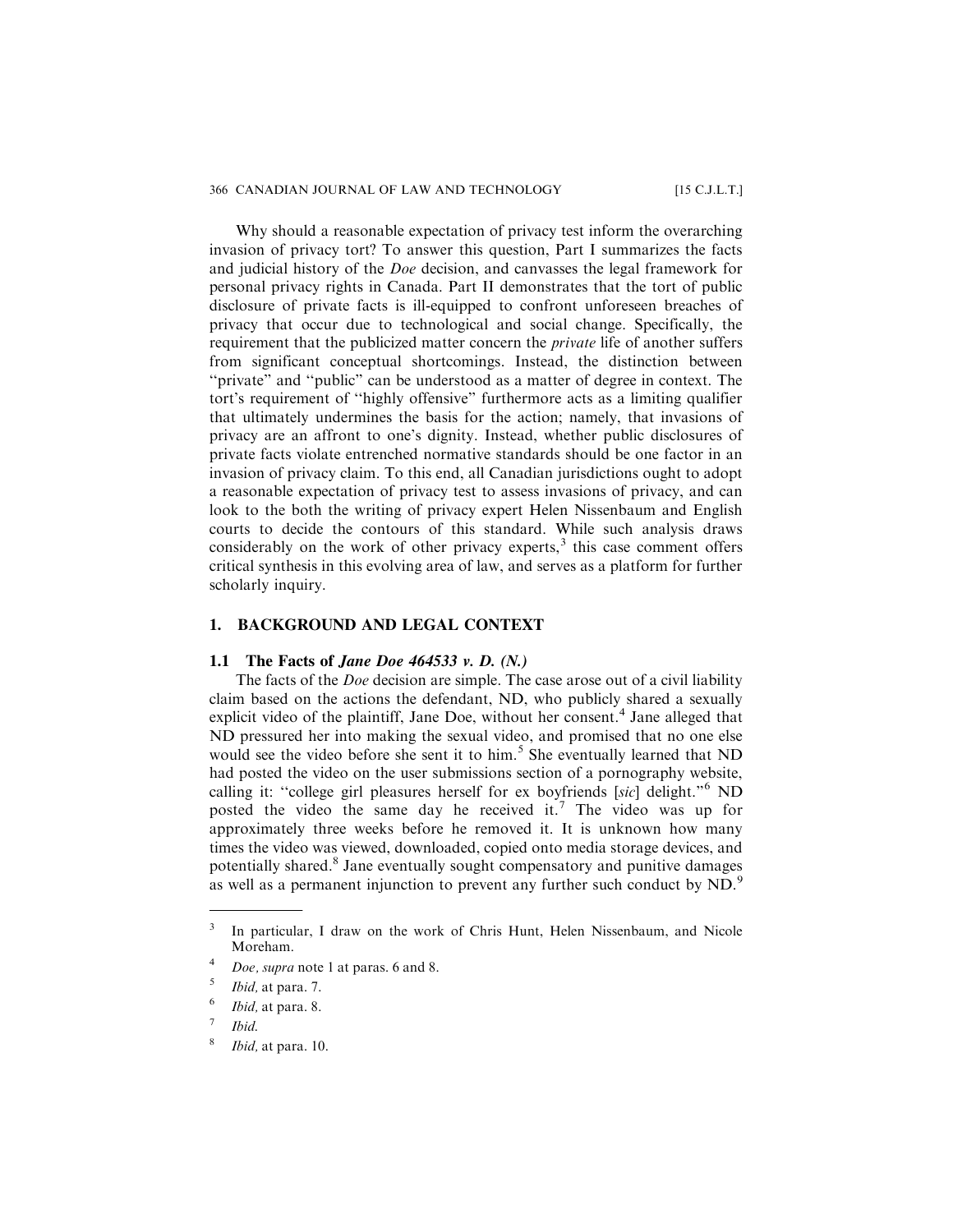Why should a reasonable expectation of privacy test inform the overarching invasion of privacy tort? To answer this question, Part I summarizes the facts and judicial history of the Doe decision, and canvasses the legal framework for personal privacy rights in Canada. Part II demonstrates that the tort of public disclosure of private facts is ill-equipped to confront unforeseen breaches of privacy that occur due to technological and social change. Specifically, the requirement that the publicized matter concern the private life of another suffers from significant conceptual shortcomings. Instead, the distinction between ''private" and ''public" can be understood as a matter of degree in context. The tort's requirement of ''highly offensive" furthermore acts as a limiting qualifier that ultimately undermines the basis for the action; namely, that invasions of privacy are an affront to one's dignity. Instead, whether public disclosures of private facts violate entrenched normative standards should be one factor in an invasion of privacy claim. To this end, all Canadian jurisdictions ought to adopt a reasonable expectation of privacy test to assess invasions of privacy, and can look to the both the writing of privacy expert Helen Nissenbaum and English courts to decide the contours of this standard. While such analysis draws considerably on the work of other privacy experts, $3$  this case comment offers critical synthesis in this evolving area of law, and serves as a platform for further scholarly inquiry.

#### **1. BACKGROUND AND LEGAL CONTEXT**

#### **1.1 The Facts of** *Jane Doe 464533 v. D. (N.)*

The facts of the *Doe* decision are simple. The case arose out of a civil liability claim based on the actions the defendant, ND, who publicly shared a sexually explicit video of the plaintiff, Jane Doe, without her consent.<sup>4</sup> Jane alleged that ND pressured her into making the sexual video, and promised that no one else would see the video before she sent it to him.<sup>5</sup> She eventually learned that ND had posted the video on the user submissions section of a pornography website, calling it: "college girl pleasures herself for ex boyfriends [sic] delight."<sup>6</sup> ND posted the video the same day he received it.<sup>7</sup> The video was up for approximately three weeks before he removed it. It is unknown how many times the video was viewed, downloaded, copied onto media storage devices, and potentially shared.<sup>8</sup> Jane eventually sought compensatory and punitive damages as well as a permanent injunction to prevent any further such conduct by ND.<sup>9</sup>

<sup>&</sup>lt;sup>3</sup> In particular, I draw on the work of Chris Hunt, Helen Nissenbaum, and Nicole Moreham.

Doe, supra note 1 at paras. 6 and 8.

 $5$  *Ibid*, at para. 7.

 $6$  *Ibid*, at para. 8.

<sup>7</sup> Ibid.

Ibid, at para. 10.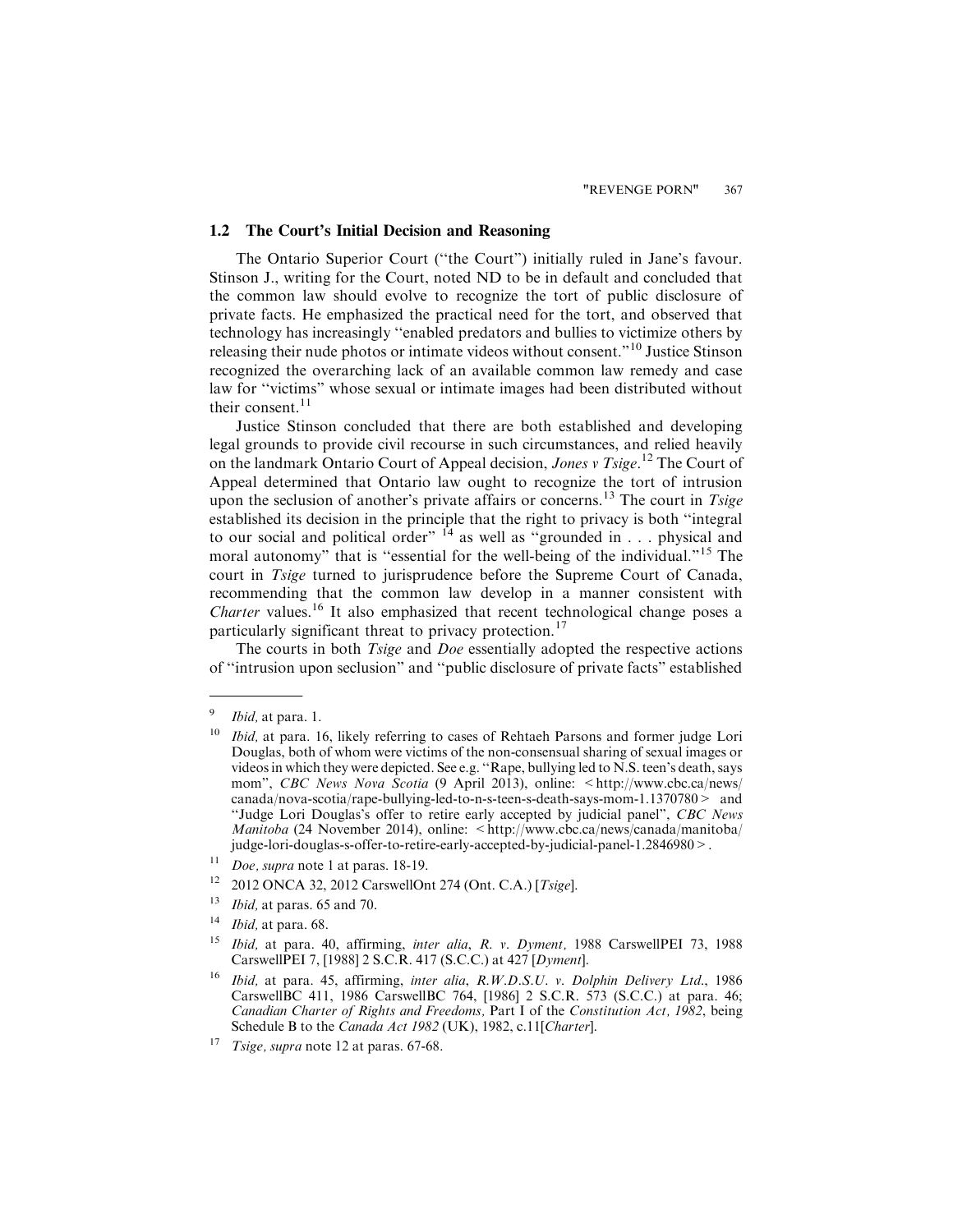#### **1.2 The Court's Initial Decision and Reasoning**

The Ontario Superior Court (''the Court") initially ruled in Jane's favour. Stinson J., writing for the Court, noted ND to be in default and concluded that the common law should evolve to recognize the tort of public disclosure of private facts. He emphasized the practical need for the tort, and observed that technology has increasingly ''enabled predators and bullies to victimize others by releasing their nude photos or intimate videos without consent."<sup>10</sup> Justice Stinson recognized the overarching lack of an available common law remedy and case law for ''victims" whose sexual or intimate images had been distributed without their consent.<sup>11</sup>

Justice Stinson concluded that there are both established and developing legal grounds to provide civil recourse in such circumstances, and relied heavily on the landmark Ontario Court of Appeal decision, Jones v Tsige.<sup>12</sup> The Court of Appeal determined that Ontario law ought to recognize the tort of intrusion upon the seclusion of another's private affairs or concerns.<sup>13</sup> The court in *Tsige* established its decision in the principle that the right to privacy is both ''integral to our social and political order"  $^{14}$  as well as "grounded in . . . physical and moral autonomy" that is "essential for the well-being of the individual."<sup>15</sup> The court in Tsige turned to jurisprudence before the Supreme Court of Canada, recommending that the common law develop in a manner consistent with Charter values.<sup>16</sup> It also emphasized that recent technological change poses a particularly significant threat to privacy protection.<sup>17</sup>

The courts in both *Tsige* and *Doe* essentially adopted the respective actions of ''intrusion upon seclusion" and ''public disclosure of private facts" established

- $13$  *Ibid,* at paras. 65 and 70.
- $14$  *Ibid*, at para. 68.
- <sup>15</sup> Ibid, at para. 40, affirming, *inter alia, R. v. Dyment*, 1988 CarswellPEI 73, 1988 CarswellPEI 7, [1988] 2 S.C.R. 417 (S.C.C.) at 427 [Dyment].
- <sup>16</sup> Ibid, at para. 45, affirming, inter alia, R.W.D.S.U. v. Dolphin Delivery Ltd., 1986 CarswellBC 411, 1986 CarswellBC 764, [1986] 2 S.C.R. 573 (S.C.C.) at para. 46; Canadian Charter of Rights and Freedoms, Part I of the Constitution Act, 1982, being Schedule B to the Canada Act 1982 (UK), 1982, c.11[Charter].
- <sup>17</sup> *Tsige, supra* note 12 at paras.  $67-68$ .

 $9$  *Ibid*, at para. 1.

 $10$  Ibid, at para. 16, likely referring to cases of Rehtaeh Parsons and former judge Lori Douglas, both of whom were victims of the non-consensual sharing of sexual images or videos in which they were depicted. See e.g. ''Rape, bullying led to N.S. teen's death, says mom", CBC News Nova Scotia (9 April 2013), online: <http://www.cbc.ca/news/ canada/nova-scotia/rape-bullying-led-to-n-s-teen-s-death-says-mom-1.1370780> and "Judge Lori Douglas's offer to retire early accepted by judicial panel", CBC News Manitoba (24 November 2014), online: <http://www.cbc.ca/news/canada/manitoba/ judge-lori-douglas-s-offer-to-retire-early-accepted-by-judicial-panel-1.2846980>.

 $11$  Doe, supra note 1 at paras. 18-19.

<sup>12</sup> 2012 ONCA 32, 2012 CarswellOnt 274 (Ont. C.A.) [Tsige].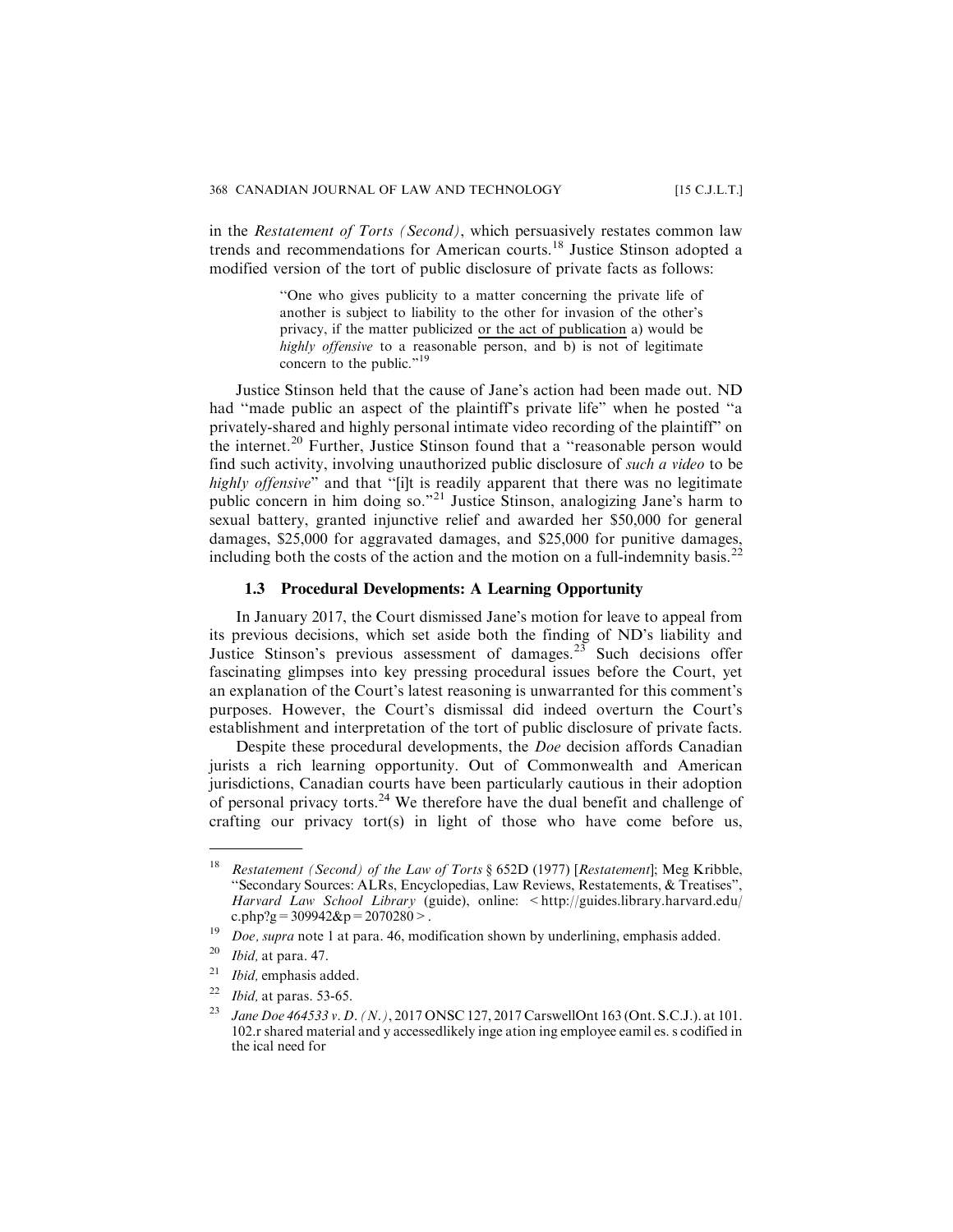in the Restatement of Torts (Second), which persuasively restates common law trends and recommendations for American courts.<sup>18</sup> Justice Stinson adopted a modified version of the tort of public disclosure of private facts as follows:

> ''One who gives publicity to a matter concerning the private life of another is subject to liability to the other for invasion of the other's privacy, if the matter publicized or the act of publication a) would be highly offensive to a reasonable person, and b) is not of legitimate concern to the public."<sup>19</sup>

Justice Stinson held that the cause of Jane's action had been made out. ND had ''made public an aspect of the plaintiff's private life" when he posted ''a privately-shared and highly personal intimate video recording of the plaintiff" on the internet.<sup>20</sup> Further, Justice Stinson found that a "reasonable person would find such activity, involving unauthorized public disclosure of such a video to be highly offensive" and that "[i]t is readily apparent that there was no legitimate public concern in him doing so."<sup>21</sup> Justice Stinson, analogizing Jane's harm to sexual battery, granted injunctive relief and awarded her \$50,000 for general damages, \$25,000 for aggravated damages, and \$25,000 for punitive damages, including both the costs of the action and the motion on a full-indemnity basis.<sup>22</sup>

#### **1.3 Procedural Developments: A Learning Opportunity**

In January 2017, the Court dismissed Jane's motion for leave to appeal from its previous decisions, which set aside both the finding of ND's liability and Justice Stinson's previous assessment of damages.<sup>23</sup> Such decisions offer fascinating glimpses into key pressing procedural issues before the Court, yet an explanation of the Court's latest reasoning is unwarranted for this comment's purposes. However, the Court's dismissal did indeed overturn the Court's establishment and interpretation of the tort of public disclosure of private facts.

Despite these procedural developments, the Doe decision affords Canadian jurists a rich learning opportunity. Out of Commonwealth and American jurisdictions, Canadian courts have been particularly cautious in their adoption of personal privacy torts.<sup>24</sup> We therefore have the dual benefit and challenge of crafting our privacy tort(s) in light of those who have come before us,

- $21$  *Ibid*, emphasis added.
- $22$  *Ibid*, at paras. 53-65.

<sup>&</sup>lt;sup>18</sup> Restatement (Second) of the Law of Torts  $\S 652D (1977)$  [Restatement]; Meg Kribble, ''Secondary Sources: ALRs, Encyclopedias, Law Reviews, Restatements, & Treatises", Harvard Law School Library (guide), online: <http://guides.library.harvard.edu/ c.php?g = 309942&p = 2070280 >.

<sup>&</sup>lt;sup>19</sup> *Doe, supra* note 1 at para. 46, modification shown by underlining, emphasis added.

 $20$  *Ibid*, at para. 47.

<sup>&</sup>lt;sup>23</sup> Jane Doe 464533 v. D. (N.), 2017 ONSC 127, 2017 CarswellOnt 163 (Ont. S.C.J.). at 101. 102.r shared material and y accessedlikely inge ation ing employee eamil es. s codified in the ical need for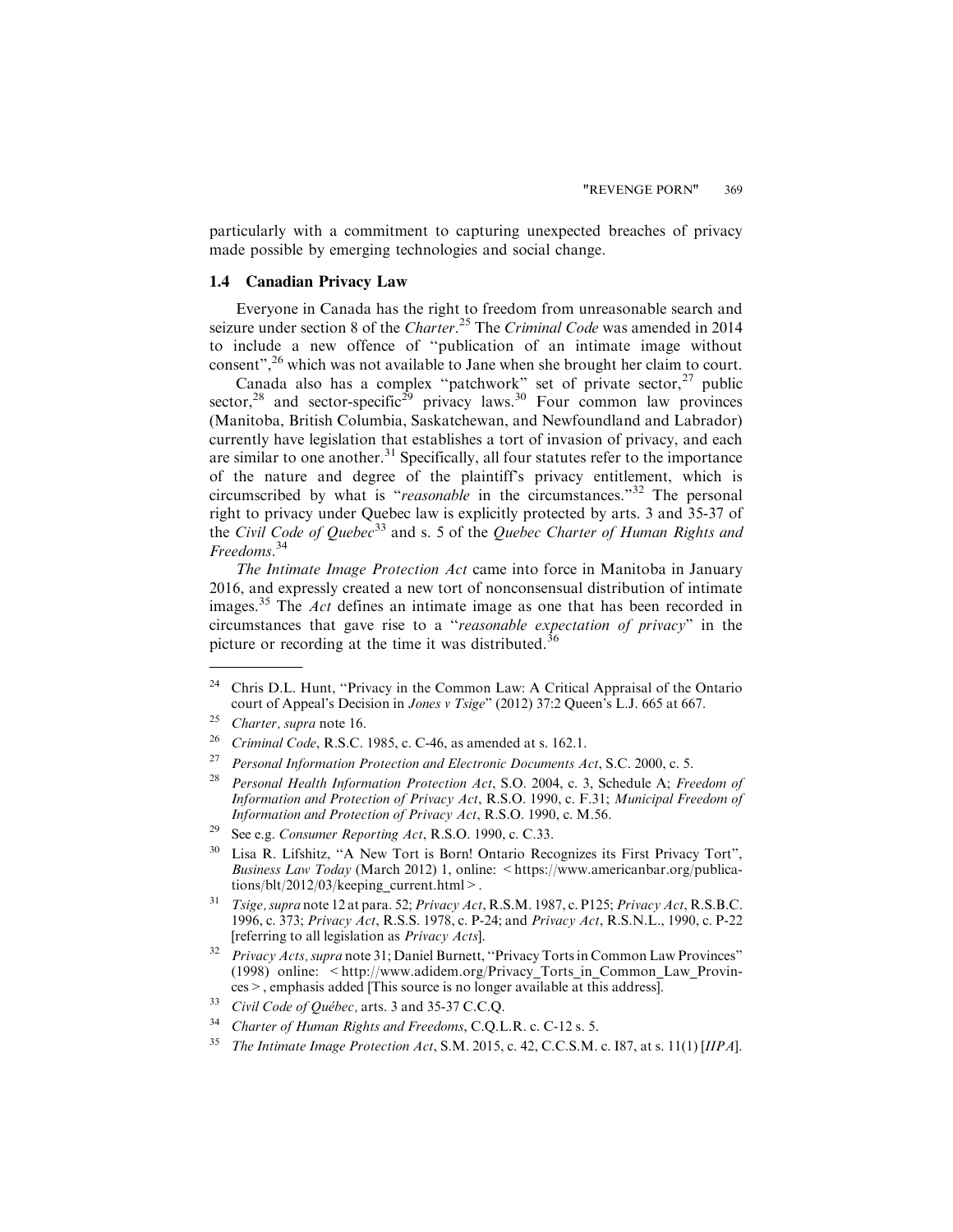particularly with a commitment to capturing unexpected breaches of privacy made possible by emerging technologies and social change.

#### **1.4 Canadian Privacy Law**

Everyone in Canada has the right to freedom from unreasonable search and seizure under section 8 of the Charter.<sup>25</sup> The Criminal Code was amended in 2014 to include a new offence of ''publication of an intimate image without consent",<sup>26</sup> which was not available to Jane when she brought her claim to court.

Canada also has a complex "patchwork" set of private sector,  $27$  public sector,<sup>28</sup> and sector-specific<sup>29</sup> privacy laws.<sup>30</sup> Four common law provinces (Manitoba, British Columbia, Saskatchewan, and Newfoundland and Labrador) currently have legislation that establishes a tort of invasion of privacy, and each are similar to one another.<sup>31</sup> Specifically, all four statutes refer to the importance of the nature and degree of the plaintiff's privacy entitlement, which is circumscribed by what is "reasonable in the circumstances."<sup>32</sup> The personal right to privacy under Quebec law is explicitly protected by arts. 3 and 35-37 of the Civil Code of Quebec<sup>33</sup> and s. 5 of the Quebec Charter of Human Rights and Freedoms. 34

The Intimate Image Protection Act came into force in Manitoba in January 2016, and expressly created a new tort of nonconsensual distribution of intimate images.<sup>35</sup> The *Act* defines an intimate image as one that has been recorded in circumstances that gave rise to a ''reasonable expectation of privacy" in the picture or recording at the time it was distributed.<sup>36</sup>

<sup>&</sup>lt;sup>24</sup> Chris D.L. Hunt, "Privacy in the Common Law: A Critical Appraisal of the Ontario court of Appeal's Decision in Jones v Tsige" (2012) 37:2 Queen's L.J. 665 at 667.

<sup>&</sup>lt;sup>25</sup> Charter, supra note 16.

<sup>&</sup>lt;sup>26</sup> Criminal Code, R.S.C. 1985, c. C-46, as amended at s. 162.1.

<sup>&</sup>lt;sup>27</sup> Personal Information Protection and Electronic Documents Act, S.C. 2000, c. 5.

Personal Health Information Protection Act, S.O. 2004, c. 3, Schedule A; Freedom of Information and Protection of Privacy Act, R.S.O. 1990, c. F.31; Municipal Freedom of Information and Protection of Privacy Act, R.S.O. 1990, c. M.56.

<sup>&</sup>lt;sup>29</sup> See e.g. *Consumer Reporting Act*, R.S.O. 1990, c. C.33.

<sup>&</sup>lt;sup>30</sup> Lisa R. Lifshitz, "A New Tort is Born! Ontario Recognizes its First Privacy Tort", Business Law Today (March 2012) 1, online: <https://www.americanbar.org/publications/blt/2012/03/keeping\_current.html>.

<sup>&</sup>lt;sup>31</sup> Tsige, supra note 12 at para. 52; Privacy Act, R.S.M. 1987, c. P125; Privacy Act, R.S.B.C. 1996, c. 373; Privacy Act, R.S.S. 1978, c. P-24; and Privacy Act, R.S.N.L., 1990, c. P-22 [referring to all legislation as Privacy Acts].

 $32$  Privacy Acts, supra note 31; Daniel Burnett, "Privacy Torts in Common Law Provinces" (1998) online: <http://www.adidem.org/Privacy\_Torts\_in\_Common\_Law\_Provinces>, emphasis added [This source is no longer available at this address].

<sup>&</sup>lt;sup>33</sup> Civil Code of Québec, arts. 3 and 35-37 C.C.Q.

<sup>&</sup>lt;sup>34</sup> Charter of Human Rights and Freedoms, C.Q.L.R. c. C-12 s. 5.

<sup>&</sup>lt;sup>35</sup> The Intimate Image Protection Act, S.M. 2015, c. 42, C.C.S.M. c. 187, at s. 11(1) [IIPA].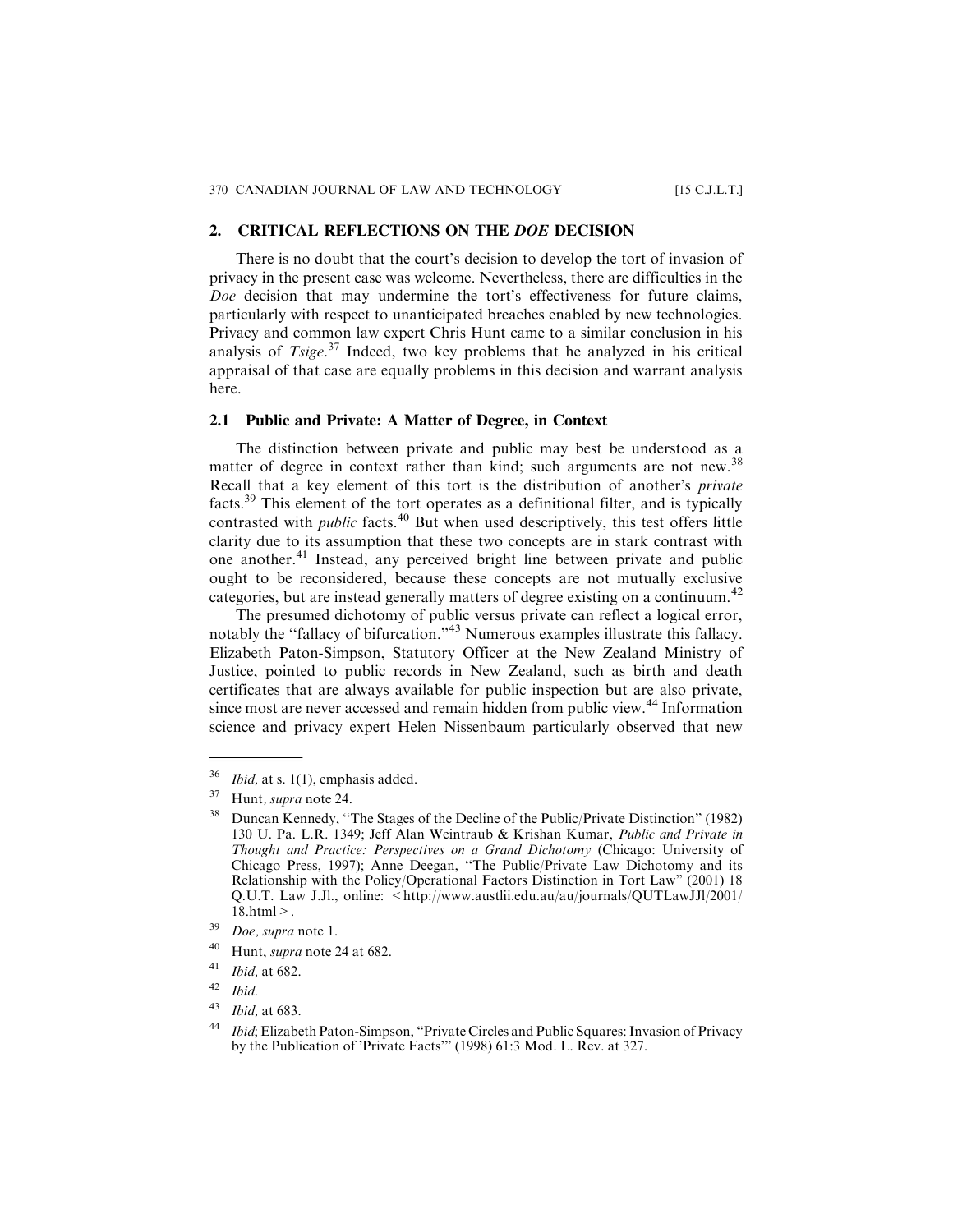#### **2. CRITICAL REFLECTIONS ON THE** *DOE* **DECISION**

There is no doubt that the court's decision to develop the tort of invasion of privacy in the present case was welcome. Nevertheless, there are difficulties in the Doe decision that may undermine the tort's effectiveness for future claims, particularly with respect to unanticipated breaches enabled by new technologies. Privacy and common law expert Chris Hunt came to a similar conclusion in his analysis of  $T\text{size}^{37}$  Indeed, two key problems that he analyzed in his critical appraisal of that case are equally problems in this decision and warrant analysis here.

#### **2.1 Public and Private: A Matter of Degree, in Context**

The distinction between private and public may best be understood as a matter of degree in context rather than kind; such arguments are not new.<sup>38</sup> Recall that a key element of this tort is the distribution of another's private facts.<sup>39</sup> This element of the tort operates as a definitional filter, and is typically contrasted with *public* facts.<sup>40</sup> But when used descriptively, this test offers little clarity due to its assumption that these two concepts are in stark contrast with one another.<sup>41</sup> Instead, any perceived bright line between private and public ought to be reconsidered, because these concepts are not mutually exclusive categories, but are instead generally matters of degree existing on a continuum.<sup>42</sup>

The presumed dichotomy of public versus private can reflect a logical error, notably the "fallacy of bifurcation."<sup>43</sup> Numerous examples illustrate this fallacy. Elizabeth Paton-Simpson, Statutory Officer at the New Zealand Ministry of Justice, pointed to public records in New Zealand, such as birth and death certificates that are always available for public inspection but are also private, since most are never accessed and remain hidden from public view.<sup>44</sup> Information science and privacy expert Helen Nissenbaum particularly observed that new

 $36$  *Ibid*, at s. 1(1), emphasis added.

<sup>37</sup> Hunt, supra note 24.

<sup>&</sup>lt;sup>38</sup> Duncan Kennedy, "The Stages of the Decline of the Public/Private Distinction" (1982) 130 U. Pa. L.R. 1349; Jeff Alan Weintraub & Krishan Kumar, Public and Private in Thought and Practice: Perspectives on a Grand Dichotomy (Chicago: University of Chicago Press, 1997); Anne Deegan, ''The Public/Private Law Dichotomy and its Relationship with the Policy/Operational Factors Distinction in Tort Law" (2001) 18 Q.U.T. Law J.Jl., online: <http://www.austlii.edu.au/au/journals/QUTLawJJl/2001/ 18.html>.

<sup>39</sup> Doe, supra note 1.

<sup>40</sup> Hunt, supra note 24 at 682.

 $\frac{41}{42}$  *Ibid*, at 682.

Ibid.

<sup>43</sup> Ibid, at 683.

<sup>&</sup>lt;sup>44</sup> *Ibid*; Elizabeth Paton-Simpson, "Private Circles and Public Squares: Invasion of Privacy by the Publication of 'Private Facts'" (1998) 61:3 Mod. L. Rev. at 327.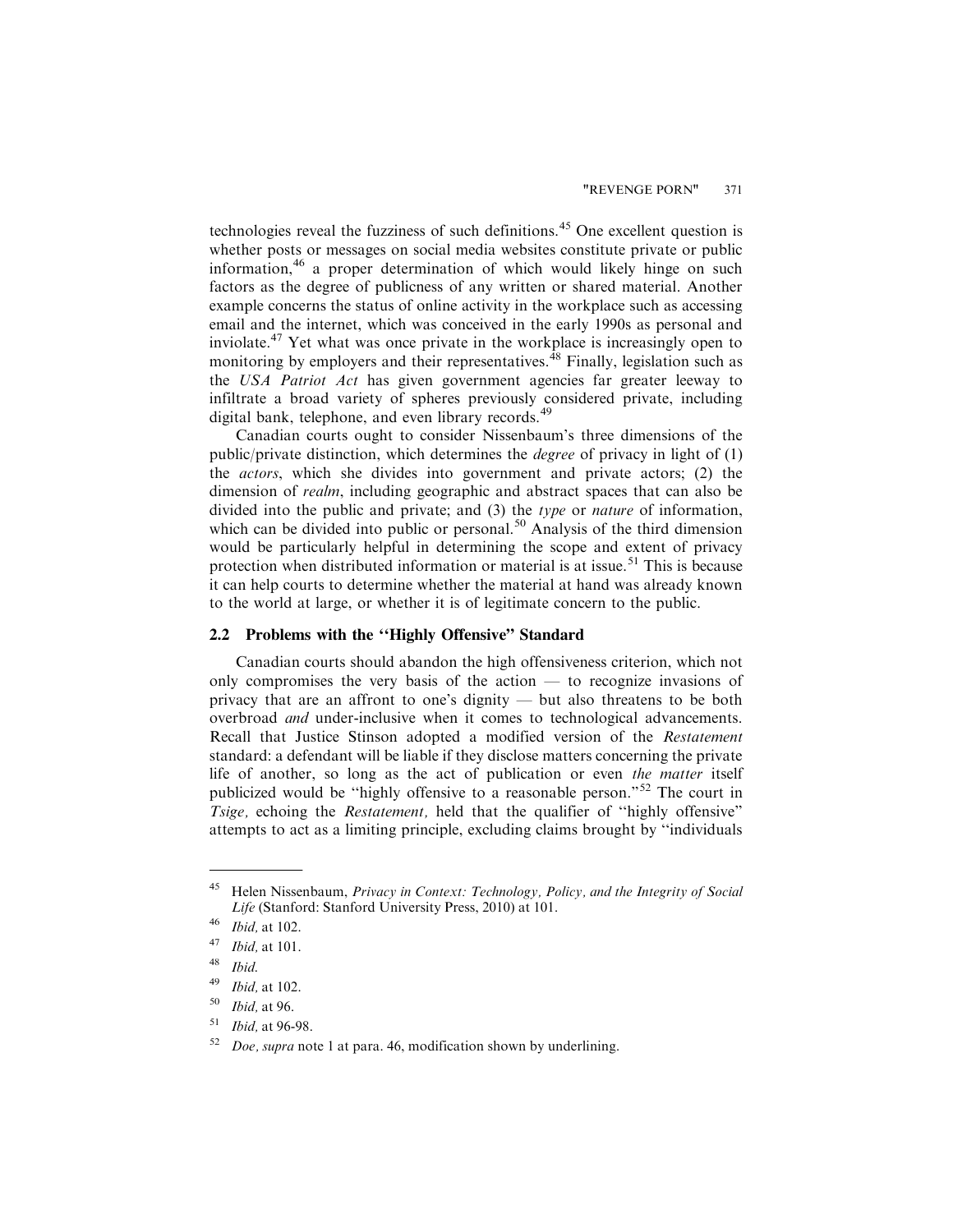technologies reveal the fuzziness of such definitions.<sup>45</sup> One excellent question is whether posts or messages on social media websites constitute private or public information, $46$  a proper determination of which would likely hinge on such factors as the degree of publicness of any written or shared material. Another example concerns the status of online activity in the workplace such as accessing email and the internet, which was conceived in the early 1990s as personal and inviolate.<sup>47</sup> Yet what was once private in the workplace is increasingly open to monitoring by employers and their representatives.  $48$  Finally, legislation such as the USA Patriot Act has given government agencies far greater leeway to infiltrate a broad variety of spheres previously considered private, including digital bank, telephone, and even library records.<sup>49</sup>

Canadian courts ought to consider Nissenbaum's three dimensions of the public/private distinction, which determines the degree of privacy in light of (1) the actors, which she divides into government and private actors; (2) the dimension of *realm*, including geographic and abstract spaces that can also be divided into the public and private; and (3) the type or nature of information, which can be divided into public or personal.<sup>50</sup> Analysis of the third dimension would be particularly helpful in determining the scope and extent of privacy protection when distributed information or material is at issue.<sup>51</sup> This is because it can help courts to determine whether the material at hand was already known to the world at large, or whether it is of legitimate concern to the public.

#### **2.2 Problems with the ''Highly Offensive" Standard**

Canadian courts should abandon the high offensiveness criterion, which not only compromises the very basis of the action — to recognize invasions of privacy that are an affront to one's dignity — but also threatens to be both overbroad and under-inclusive when it comes to technological advancements. Recall that Justice Stinson adopted a modified version of the Restatement standard: a defendant will be liable if they disclose matters concerning the private life of another, so long as the act of publication or even the matter itself publicized would be ''highly offensive to a reasonable person."<sup>52</sup> The court in Tsige, echoing the Restatement, held that the qualifier of ''highly offensive" attempts to act as a limiting principle, excluding claims brought by ''individuals

 $45$  Helen Nissenbaum, *Privacy in Context: Technology, Policy, and the Integrity of Social* Life (Stanford: Stanford University Press, 2010) at 101.

 $46$  *Ibid*, at 102.

 $47$  *Ibid*, at 101.

 $48$  Ibid.

 $49$  *Ibid.* at 102.

 $50$  *Ibid.* at 96.

 $51$  *Ibid.* at 96-98.

 $52$  *Doe, supra* note 1 at para. 46, modification shown by underlining.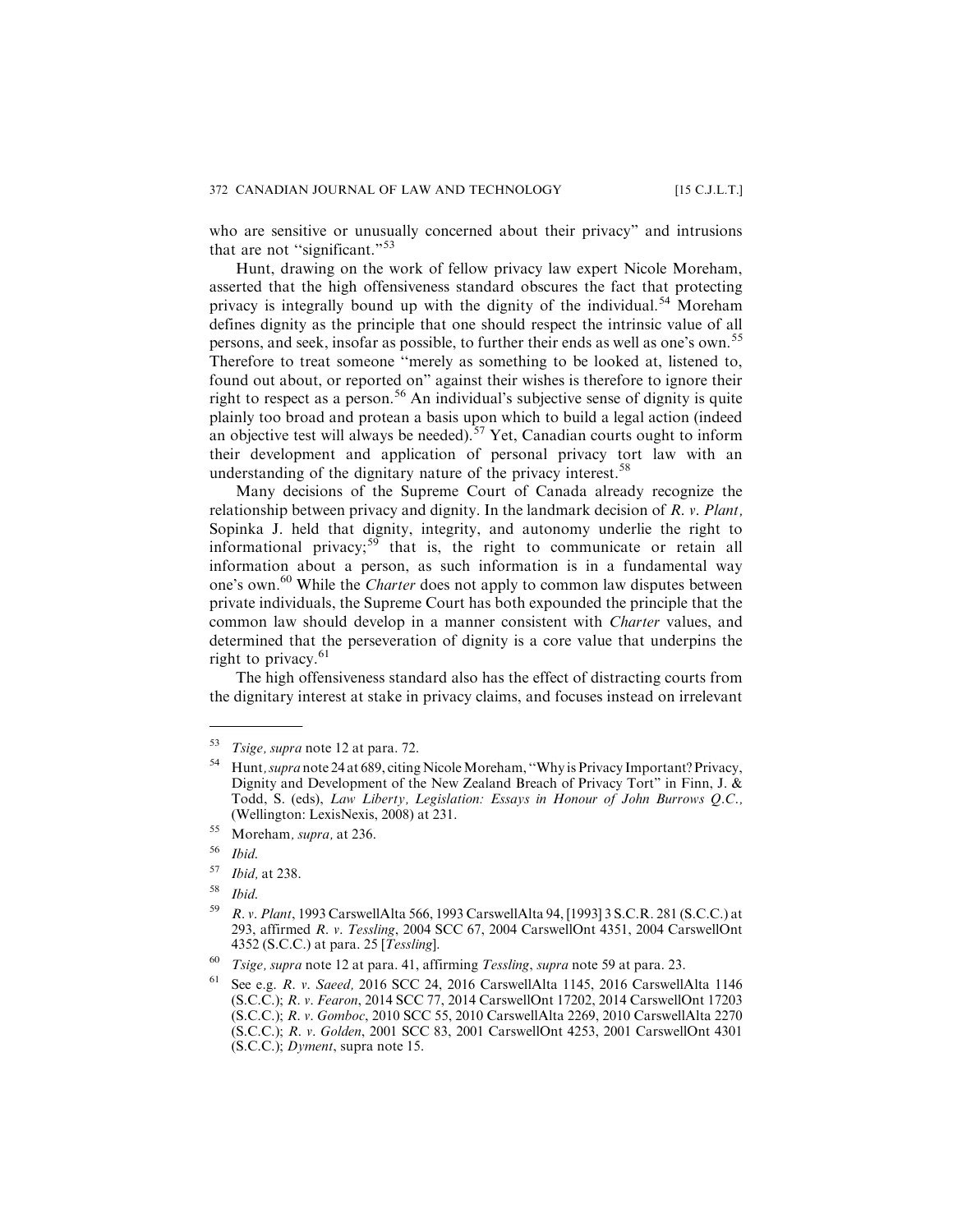who are sensitive or unusually concerned about their privacy" and intrusions that are not "significant."<sup>53</sup>

Hunt, drawing on the work of fellow privacy law expert Nicole Moreham, asserted that the high offensiveness standard obscures the fact that protecting privacy is integrally bound up with the dignity of the individual.<sup>54</sup> Moreham defines dignity as the principle that one should respect the intrinsic value of all persons, and seek, insofar as possible, to further their ends as well as one's own.<sup>55</sup> Therefore to treat someone ''merely as something to be looked at, listened to, found out about, or reported on" against their wishes is therefore to ignore their right to respect as a person.<sup>56</sup> An individual's subjective sense of dignity is quite plainly too broad and protean a basis upon which to build a legal action (indeed an objective test will always be needed).<sup>57</sup> Yet, Canadian courts ought to inform their development and application of personal privacy tort law with an understanding of the dignitary nature of the privacy interest.<sup>58</sup>

Many decisions of the Supreme Court of Canada already recognize the relationship between privacy and dignity. In the landmark decision of R. v. Plant, Sopinka J. held that dignity, integrity, and autonomy underlie the right to informational privacy;<sup>59</sup> that is, the right to communicate or retain all information about a person, as such information is in a fundamental way one's own.<sup>60</sup> While the *Charter* does not apply to common law disputes between private individuals, the Supreme Court has both expounded the principle that the common law should develop in a manner consistent with Charter values, and determined that the perseveration of dignity is a core value that underpins the right to privacy. $61$ 

The high offensiveness standard also has the effect of distracting courts from the dignitary interest at stake in privacy claims, and focuses instead on irrelevant

<sup>53</sup> Tsige, supra note 12 at para. 72.

<sup>54</sup> Hunt, supra note 24 at 689, citing NicoleMoreham, ''Why is Privacy Important? Privacy, Dignity and Development of the New Zealand Breach of Privacy Tort" in Finn, J. & Todd, S. (eds), Law Liberty, Legislation: Essays in Honour of John Burrows Q.C., (Wellington: LexisNexis, 2008) at 231.

<sup>55</sup> Moreham, supra, at 236.

<sup>56</sup> Ibid.

<sup>57</sup> Ibid, at 238.

<sup>58</sup> Ibid.

<sup>59</sup> R. v. Plant, 1993 CarswellAlta 566, 1993 CarswellAlta 94, [1993] 3 S.C.R. 281 (S.C.C.) at 293, affirmed R. v. Tessling, 2004 SCC 67, 2004 CarswellOnt 4351, 2004 CarswellOnt 4352 (S.C.C.) at para. 25 [Tessling].

 $60$  Tsige, supra note 12 at para. 41, affirming Tessling, supra note 59 at para. 23.

<sup>61</sup> See e.g. R. v. Saeed, 2016 SCC 24, 2016 CarswellAlta 1145, 2016 CarswellAlta 1146 (S.C.C.); R. v. Fearon, 2014 SCC 77, 2014 CarswellOnt 17202, 2014 CarswellOnt 17203 (S.C.C.); R. v. Gomboc, 2010 SCC 55, 2010 CarswellAlta 2269, 2010 CarswellAlta 2270 (S.C.C.); R. v. Golden, 2001 SCC 83, 2001 CarswellOnt 4253, 2001 CarswellOnt 4301 (S.C.C.); Dyment, supra note 15.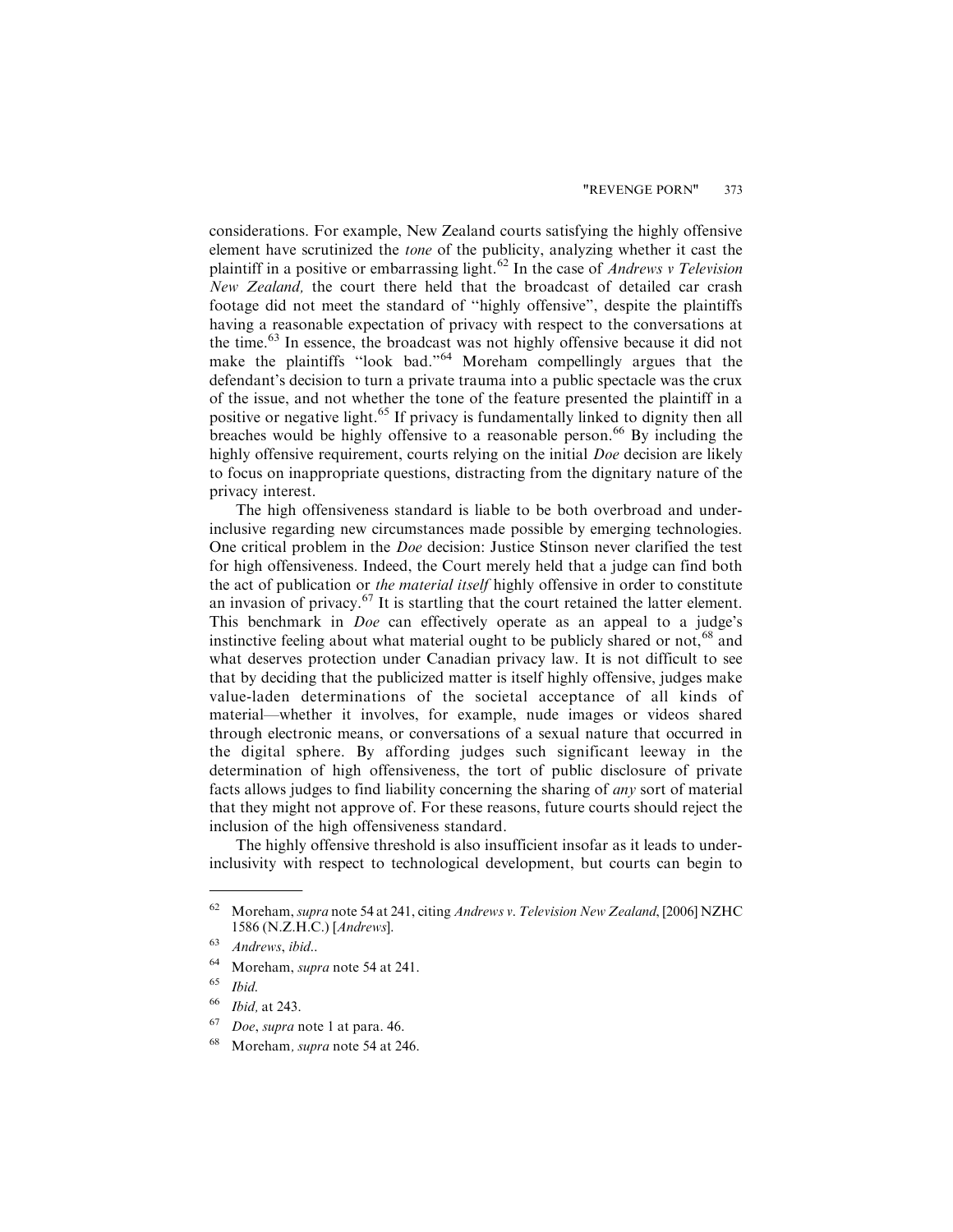considerations. For example, New Zealand courts satisfying the highly offensive element have scrutinized the tone of the publicity, analyzing whether it cast the plaintiff in a positive or embarrassing light.<sup>62</sup> In the case of *Andrews v Television* New Zealand, the court there held that the broadcast of detailed car crash footage did not meet the standard of ''highly offensive", despite the plaintiffs having a reasonable expectation of privacy with respect to the conversations at the time.<sup>63</sup> In essence, the broadcast was not highly offensive because it did not make the plaintiffs "look bad."<sup>64</sup> Moreham compellingly argues that the defendant's decision to turn a private trauma into a public spectacle was the crux of the issue, and not whether the tone of the feature presented the plaintiff in a positive or negative light.<sup>65</sup> If privacy is fundamentally linked to dignity then all breaches would be highly offensive to a reasonable person.<sup>66</sup> By including the highly offensive requirement, courts relying on the initial Doe decision are likely to focus on inappropriate questions, distracting from the dignitary nature of the privacy interest.

The high offensiveness standard is liable to be both overbroad and underinclusive regarding new circumstances made possible by emerging technologies. One critical problem in the Doe decision: Justice Stinson never clarified the test for high offensiveness. Indeed, the Court merely held that a judge can find both the act of publication or the material itself highly offensive in order to constitute an invasion of privacy.<sup>67</sup> It is startling that the court retained the latter element. This benchmark in Doe can effectively operate as an appeal to a judge's instinctive feeling about what material ought to be publicly shared or not,  $68$  and what deserves protection under Canadian privacy law. It is not difficult to see that by deciding that the publicized matter is itself highly offensive, judges make value-laden determinations of the societal acceptance of all kinds of material—whether it involves, for example, nude images or videos shared through electronic means, or conversations of a sexual nature that occurred in the digital sphere. By affording judges such significant leeway in the determination of high offensiveness, the tort of public disclosure of private facts allows judges to find liability concerning the sharing of any sort of material that they might not approve of. For these reasons, future courts should reject the inclusion of the high offensiveness standard.

The highly offensive threshold is also insufficient insofar as it leads to underinclusivity with respect to technological development, but courts can begin to

<sup>&</sup>lt;sup>62</sup> Moreham, supra note 54 at 241, citing Andrews v. Television New Zealand, [2006] NZHC 1586 (N.Z.H.C.) [Andrews].

<sup>63</sup> Andrews, ibid..

<sup>64</sup> Moreham, supra note 54 at 241.

 $65$  *Ibid.* 

<sup>66</sup> Ibid, at 243.

 $67$  Doe, supra note 1 at para. 46.

<sup>68</sup> Moreham, supra note 54 at 246.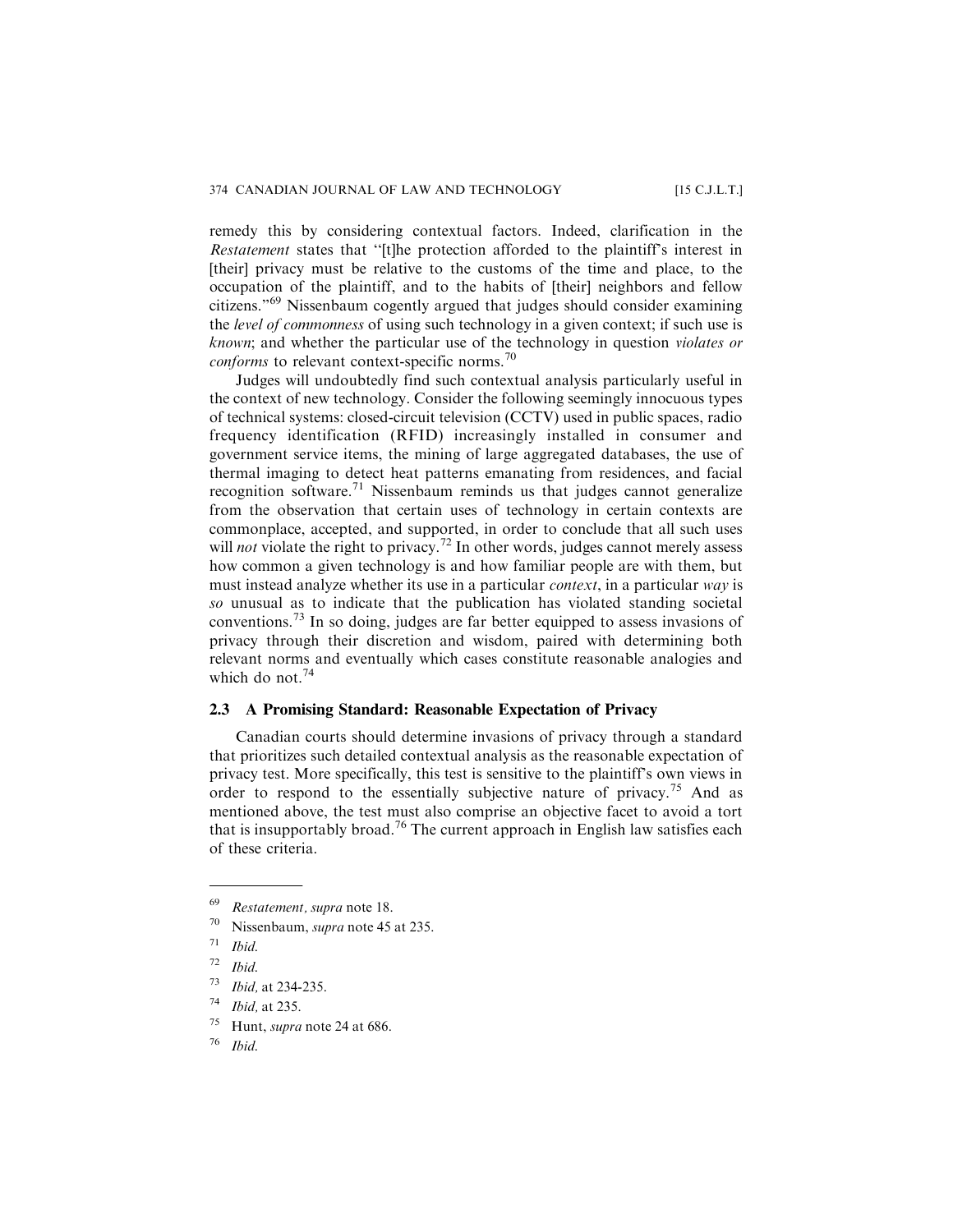remedy this by considering contextual factors. Indeed, clarification in the Restatement states that ''[t]he protection afforded to the plaintiff's interest in [their] privacy must be relative to the customs of the time and place, to the occupation of the plaintiff, and to the habits of [their] neighbors and fellow citizens."<sup>69</sup> Nissenbaum cogently argued that judges should consider examining the *level of commonness* of using such technology in a given context; if such use is known; and whether the particular use of the technology in question violates or conforms to relevant context-specific norms.<sup>70</sup>

Judges will undoubtedly find such contextual analysis particularly useful in the context of new technology. Consider the following seemingly innocuous types of technical systems: closed-circuit television (CCTV) used in public spaces, radio frequency identification (RFID) increasingly installed in consumer and government service items, the mining of large aggregated databases, the use of thermal imaging to detect heat patterns emanating from residences, and facial recognition software.<sup>71</sup> Nissenbaum reminds us that judges cannot generalize from the observation that certain uses of technology in certain contexts are commonplace, accepted, and supported, in order to conclude that all such uses will not violate the right to privacy.<sup>72</sup> In other words, judges cannot merely assess how common a given technology is and how familiar people are with them, but must instead analyze whether its use in a particular *context*, in a particular way is so unusual as to indicate that the publication has violated standing societal conventions.<sup>73</sup> In so doing, judges are far better equipped to assess invasions of privacy through their discretion and wisdom, paired with determining both relevant norms and eventually which cases constitute reasonable analogies and which do not.<sup>74</sup>

#### **2.3 A Promising Standard: Reasonable Expectation of Privacy**

Canadian courts should determine invasions of privacy through a standard that prioritizes such detailed contextual analysis as the reasonable expectation of privacy test. More specifically, this test is sensitive to the plaintiff's own views in order to respond to the essentially subjective nature of privacy.<sup>75</sup> And as mentioned above, the test must also comprise an objective facet to avoid a tort that is insupportably broad.<sup>76</sup> The current approach in English law satisfies each of these criteria.

<sup>69</sup> Restatement, supra note 18.

<sup>70</sup> Nissenbaum, supra note 45 at 235.

 $71$  Ibid.

 $72$  Ibid.

<sup>73</sup> Ibid, at 234-235.

 $74$  *Ibid.* at 235.

 $75$  Hunt, *supra* note 24 at 686.

<sup>76</sup> Ibid.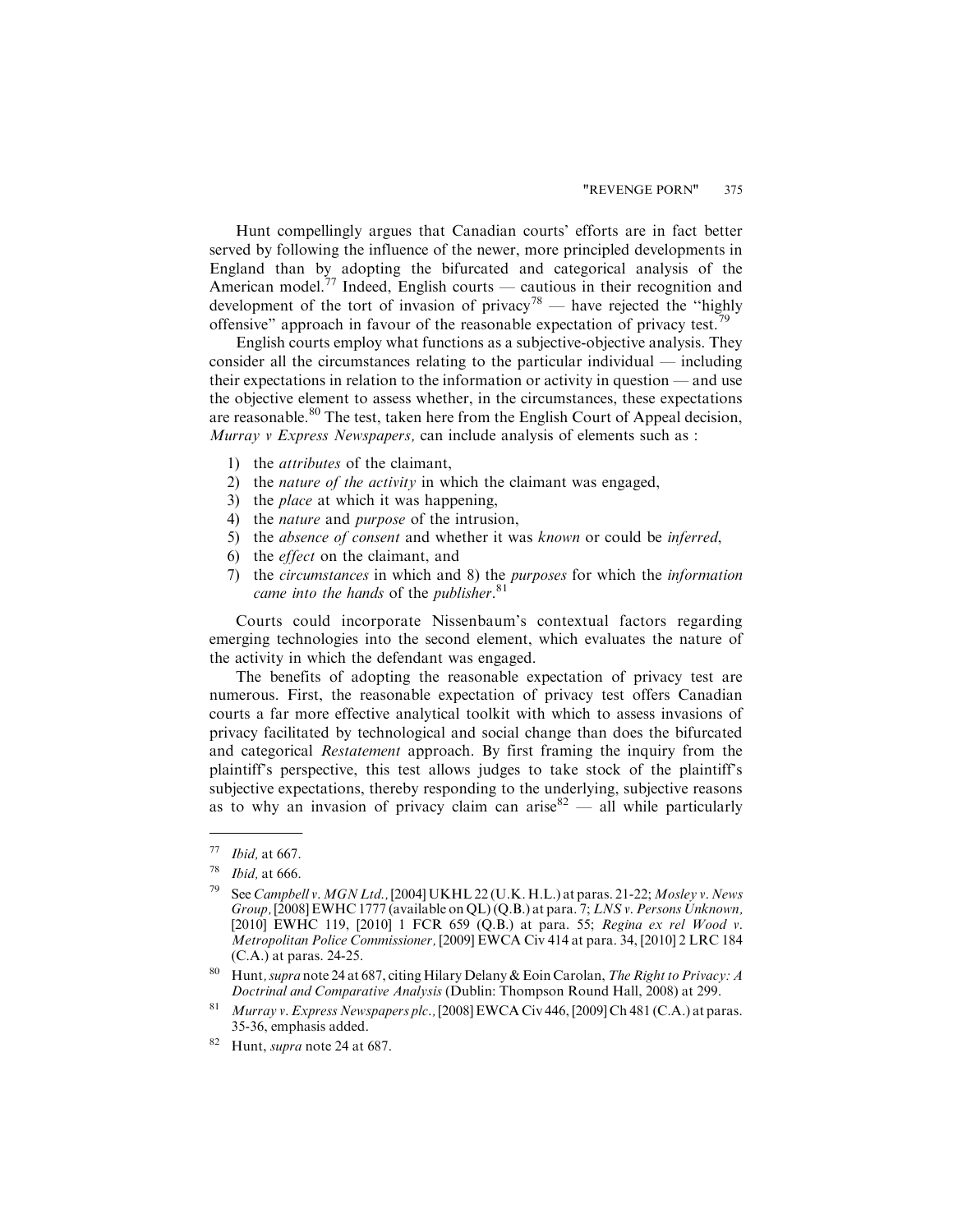Hunt compellingly argues that Canadian courts' efforts are in fact better served by following the influence of the newer, more principled developments in England than by adopting the bifurcated and categorical analysis of the American model.<sup>77</sup> Indeed, English courts — cautious in their recognition and development of the tort of invasion of privacy<sup>78</sup> — have rejected the "highly offensive" approach in favour of the reasonable expectation of privacy test.<sup>79</sup>

English courts employ what functions as a subjective-objective analysis. They consider all the circumstances relating to the particular individual — including their expectations in relation to the information or activity in question — and use the objective element to assess whether, in the circumstances, these expectations are reasonable.<sup>80</sup> The test, taken here from the English Court of Appeal decision, Murray v Express Newspapers, can include analysis of elements such as :

- 1) the attributes of the claimant,
- 2) the nature of the activity in which the claimant was engaged,
- 3) the *place* at which it was happening,
- 4) the nature and purpose of the intrusion,
- 5) the absence of consent and whether it was known or could be inferred,
- 6) the effect on the claimant, and
- 7) the circumstances in which and 8) the purposes for which the information came into the hands of the publisher.<sup>81</sup>

Courts could incorporate Nissenbaum's contextual factors regarding emerging technologies into the second element, which evaluates the nature of the activity in which the defendant was engaged.

The benefits of adopting the reasonable expectation of privacy test are numerous. First, the reasonable expectation of privacy test offers Canadian courts a far more effective analytical toolkit with which to assess invasions of privacy facilitated by technological and social change than does the bifurcated and categorical Restatement approach. By first framing the inquiry from the plaintiff's perspective, this test allows judges to take stock of the plaintiff's subjective expectations, thereby responding to the underlying, subjective reasons as to why an invasion of privacy claim can arise  $82$  — all while particularly

 $77$  *Ibid, at 667.* 

 $78$  *Ibid, at 666.* 

See Campbell v. MGN Ltd., [2004] UKHL 22 (U.K. H.L.) at paras. 21-22; Mosley v. News Group, [2008] EWHC 1777 (available on QL) (Q.B.) at para. 7; LNS v. Persons Unknown, [2010] EWHC 119, [2010] 1 FCR 659 (Q.B.) at para. 55; Regina ex rel Wood v. Metropolitan Police Commissioner, [2009] EWCA Civ 414 at para. 34, [2010] 2 LRC 184 (C.A.) at paras. 24-25.

<sup>&</sup>lt;sup>80</sup> Hunt, supra note 24 at 687, citing Hilary Delany & Eoin Carolan, The Right to Privacy: A Doctrinal and Comparative Analysis (Dublin: Thompson Round Hall, 2008) at 299.

Murray v. Express Newspapers plc., [2008] EWCA Civ 446, [2009] Ch 481 (C.A.) at paras. 35-36, emphasis added.

<sup>&</sup>lt;sup>82</sup> Hunt, *supra* note 24 at 687.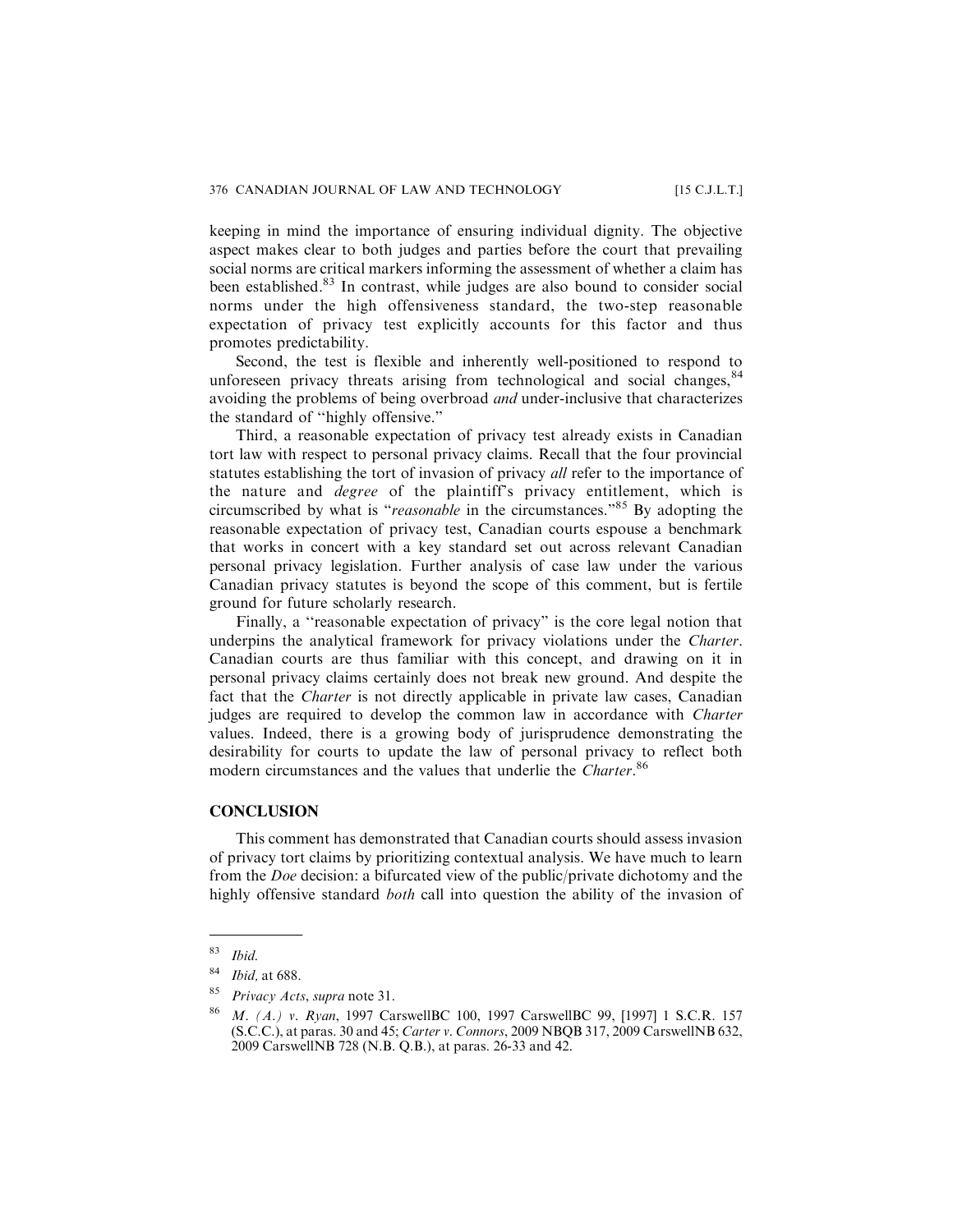keeping in mind the importance of ensuring individual dignity. The objective aspect makes clear to both judges and parties before the court that prevailing social norms are critical markers informing the assessment of whether a claim has been established.<sup>83</sup> In contrast, while judges are also bound to consider social norms under the high offensiveness standard, the two-step reasonable expectation of privacy test explicitly accounts for this factor and thus promotes predictability.

Second, the test is flexible and inherently well-positioned to respond to unforeseen privacy threats arising from technological and social changes,  $84$ avoiding the problems of being overbroad and under-inclusive that characterizes the standard of ''highly offensive."

Third, a reasonable expectation of privacy test already exists in Canadian tort law with respect to personal privacy claims. Recall that the four provincial statutes establishing the tort of invasion of privacy *all* refer to the importance of the nature and degree of the plaintiff's privacy entitlement, which is circumscribed by what is "reasonable in the circumstances."<sup>85</sup> By adopting the reasonable expectation of privacy test, Canadian courts espouse a benchmark that works in concert with a key standard set out across relevant Canadian personal privacy legislation. Further analysis of case law under the various Canadian privacy statutes is beyond the scope of this comment, but is fertile ground for future scholarly research.

Finally, a ''reasonable expectation of privacy" is the core legal notion that underpins the analytical framework for privacy violations under the *Charter*. Canadian courts are thus familiar with this concept, and drawing on it in personal privacy claims certainly does not break new ground. And despite the fact that the Charter is not directly applicable in private law cases, Canadian judges are required to develop the common law in accordance with Charter values. Indeed, there is a growing body of jurisprudence demonstrating the desirability for courts to update the law of personal privacy to reflect both modern circumstances and the values that underlie the Charter.<sup>86</sup>

#### **CONCLUSION**

This comment has demonstrated that Canadian courts should assess invasion of privacy tort claims by prioritizing contextual analysis. We have much to learn from the Doe decision: a bifurcated view of the public/private dichotomy and the highly offensive standard *both* call into question the ability of the invasion of

 $83$  *Ibid.* 

<sup>84</sup> Ibid, at 688.

Privacy Acts, supra note 31.

<sup>86</sup> M. (A.) v. Ryan, 1997 CarswellBC 100, 1997 CarswellBC 99, [1997] 1 S.C.R. 157 (S.C.C.), at paras. 30 and 45; Carter v. Connors, 2009 NBQB 317, 2009 CarswellNB 632, 2009 CarswellNB 728 (N.B. Q.B.), at paras. 26-33 and 42.